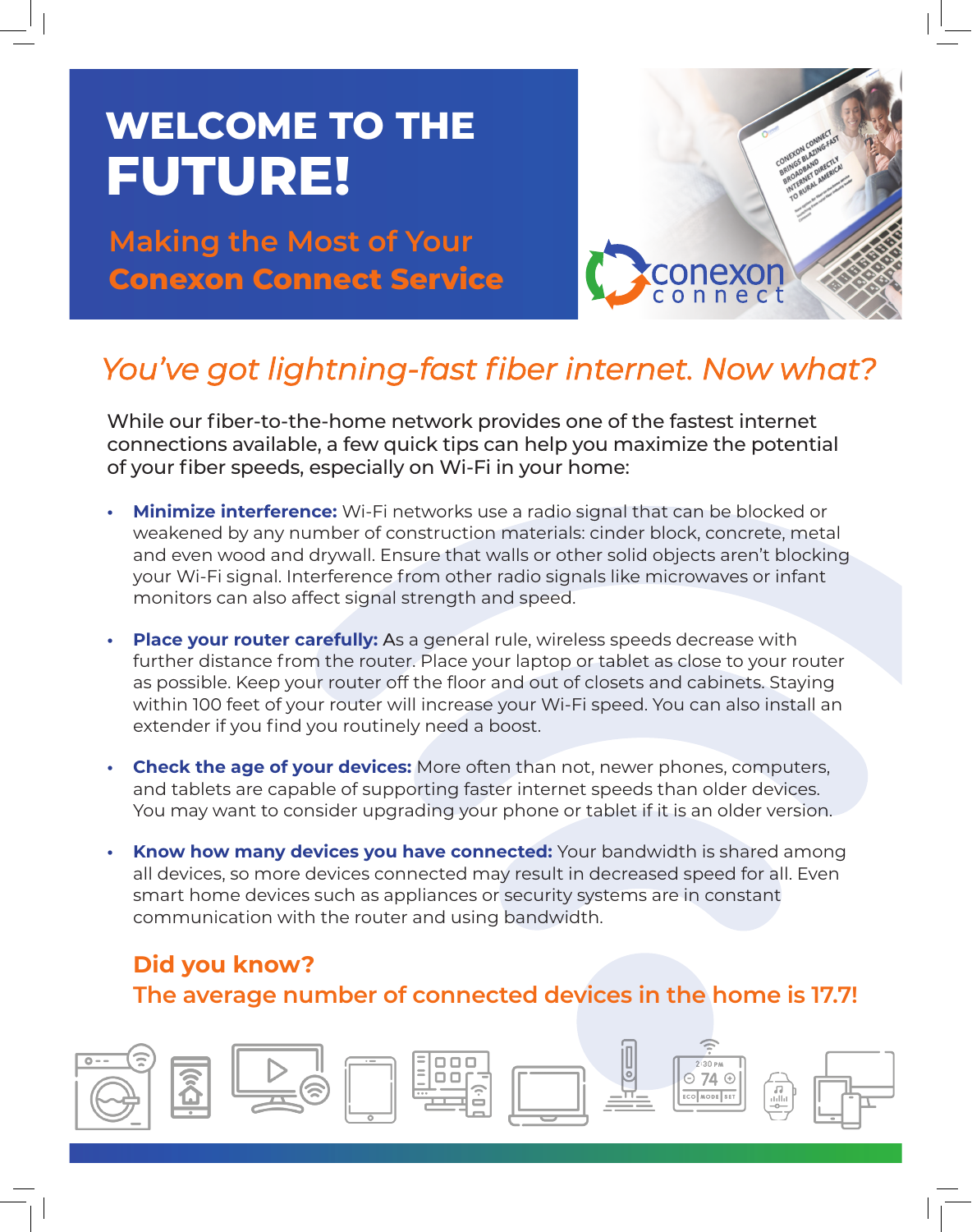# **WELCOME TO THE FUTURE!**

**Making the Most of Your Conexon Connect Service**



### *You've got lightning-fast fiber internet. Now what?*

While our fiber-to-the-home network provides one of the fastest internet connections available, a few quick tips can help you maximize the potential of your fiber speeds, especially on Wi-Fi in your home:

- **• Minimize interference:** Wi-Fi networks use a radio signal that can be blocked or weakened by any number of construction materials: cinder block, concrete, metal and even wood and drywall. Ensure that walls or other solid objects aren't blocking your Wi-Fi signal. Interference from other radio signals like microwaves or infant monitors can also affect signal strength and speed.
- **• Place your router carefully:** As a general rule, wireless speeds decrease with further distance from the router. Place your laptop or tablet as close to your router as possible. Keep your router off the floor and out of closets and cabinets. Staying within 100 feet of your router will increase your Wi-Fi speed. You can also install an extender if you find you routinely need a boost.
- **• Check the age of your devices:** More often than not, newer phones, computers, and tablets are capable of supporting faster internet speeds than older devices. You may want to consider upgrading your phone or tablet if it is an older version.
- **Know how many devices you have connected:** Your bandwidth is shared among all devices, so more devices connected may result in decreased speed for all. Even smart home devices such as appliances or security systems are in constant communication with the router and using bandwidth.

### **Did you know? The average number of connected devices in the home is 17.7!**